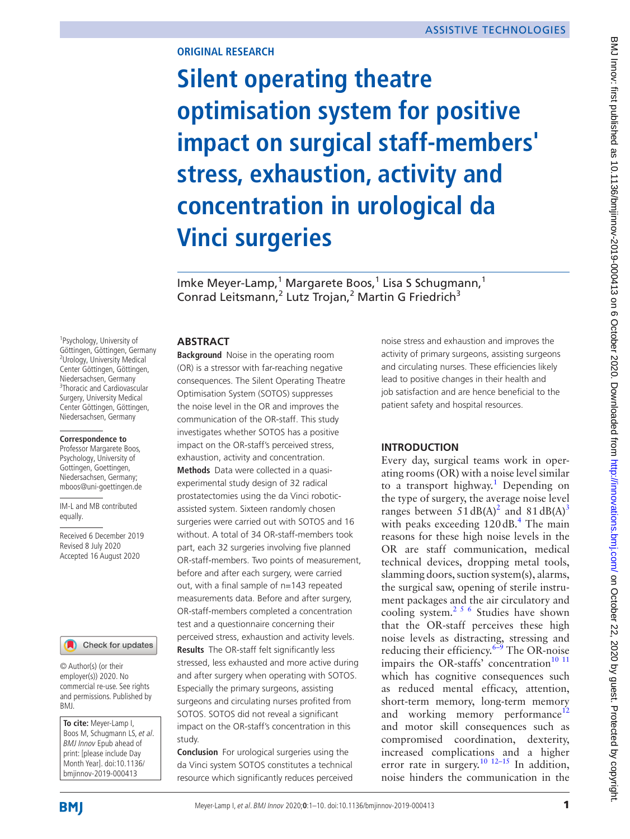### **ORIGINAL RESEARCH**

**Silent operating theatre optimisation system for positive impact on surgical staff-members' stress, exhaustion, activity and concentration in urological da Vinci surgeries**

Imke Meyer-Lamp,<sup>1</sup> Margarete Boos,<sup>1</sup> Lisa S Schugmann,<sup>1</sup> Conrad Leitsmann,<sup>2</sup> Lutz Trojan,<sup>2</sup> Martin G Friedrich<sup>3</sup>

<sup>1</sup> Psychology, University of Göttingen, Göttingen, Germany <sup>2</sup>Urology, University Medical Center Göttingen, Göttingen, Niedersachsen, Germany <sup>3</sup>Thoracic and Cardiovascular Surgery, University Medical Center Göttingen, Göttingen, Niedersachsen, Germany

#### **Correspondence to**

Professor Margarete Boos, Psychology, University of Gottingen, Goettingen, Niedersachsen, Germany; mboos@uni-goettingen.de

IM-L and MB contributed equally.

Received 6 December 2019 Revised 8 July 2020 Accepted 16 August 2020



© Author(s) (or their employer(s)) 2020. No commercial re-use. See rights and permissions. Published by BMJ.

**To cite:** Meyer-Lamp I, Boos M, Schugmann LS, et al. **BMJ** Innov Epub ahead of print: [please include Day Month Year]. doi:10.1136/ bmjinnov-2019-000413

### **ABSTRACT**

**Background** Noise in the operating room (OR) is a stressor with far-reaching negative consequences. The Silent Operating Theatre Optimisation System (SOTOS) suppresses the noise level in the OR and improves the communication of the OR-staff. This study investigates whether SOTOS has a positive impact on the OR-staff's perceived stress, exhaustion, activity and concentration. **Methods** Data were collected in a quasiexperimental study design of 32 radical prostatectomies using the da Vinci roboticassisted system. Sixteen randomly chosen surgeries were carried out with SOTOS and 16 without. A total of 34 OR-staff-members took part, each 32 surgeries involving five planned OR-staff-members. Two points of measurement, before and after each surgery, were carried out, with a final sample of n=143 repeated measurements data. Before and after surgery, OR-staff-members completed a concentration test and a questionnaire concerning their perceived stress, exhaustion and activity levels. **Results** The OR-staff felt significantly less stressed, less exhausted and more active during and after surgery when operating with SOTOS. Especially the primary surgeons, assisting surgeons and circulating nurses profited from SOTOS. SOTOS did not reveal a significant impact on the OR-staff's concentration in this study.

**Conclusion** For urological surgeries using the da Vinci system SOTOS constitutes a technical resource which significantly reduces perceived noise stress and exhaustion and improves the activity of primary surgeons, assisting surgeons and circulating nurses. These efficiencies likely lead to positive changes in their health and job satisfaction and are hence beneficial to the patient safety and hospital resources.

### **INTRODUCTION**

Every day, surgical teams work in operating rooms (OR) with a noise level similar to a transport highway.<sup>[1](#page-8-0)</sup> Depending on the type of surgery, the average noise level ranges between  $51 \text{ dB}(A)^2$  $51 \text{ dB}(A)^2$  and  $81 \text{ dB}(A)^3$ with peaks exceeding  $120 \text{ dB}$ .<sup>[4](#page-8-3)</sup> The main reasons for these high noise levels in the OR are staff communication, medical technical devices, dropping metal tools, slamming doors, suction system(s), alarms, the surgical saw, opening of sterile instrument packages and the air circulatory and cooling system[.2 5 6](#page-8-1) Studies have shown that the OR-staff perceives these high noise levels as distracting, stressing and reducing their efficiency. $6-9$  The OR-noise impairs the OR-staffs' concentration<sup>10</sup><sup>11</sup> which has cognitive consequences such as reduced mental efficacy, attention, short-term memory, long-term memory and working memory performance<sup>[12](#page-8-6)</sup> and motor skill consequences such as compromised coordination, dexterity, increased complications and a higher error rate in surgery.<sup>[10 12–15](#page-8-5)</sup> In addition, noise hinders the communication in the

**BMI**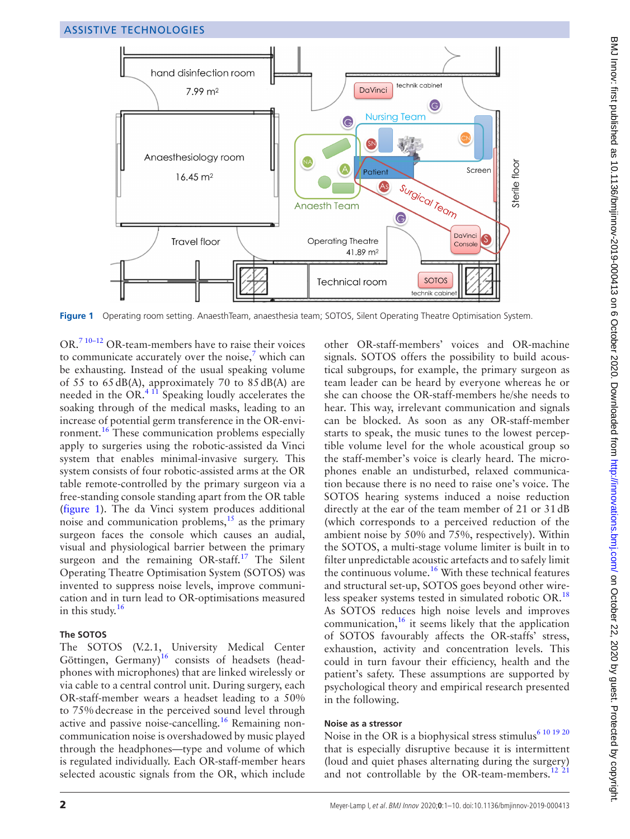

<span id="page-1-0"></span>Figure 1 Operating room setting. AnaesthTeam, anaesthesia team; SOTOS, Silent Operating Theatre Optimisation System.

OR.[7 10–12](#page-8-7) OR-team-members have to raise their voices to communicate accurately over the noise, $\frac{7}{7}$  $\frac{7}{7}$  $\frac{7}{7}$  which can be exhausting. Instead of the usual speaking volume of 55 to 65dB(A), approximately 70 to 85dB(A) are needed in the OR. $4\text{ }11$  Speaking loudly accelerates the soaking through of the medical masks, leading to an increase of potential germ transference in the OR-envi-ronment.<sup>[16](#page-8-8)</sup> These communication problems especially apply to surgeries using the robotic-assisted da Vinci system that enables minimal-invasive surgery. This system consists of four robotic-assisted arms at the OR table remote-controlled by the primary surgeon via a free-standing console standing apart from the OR table ([figure](#page-1-0) 1). The da Vinci system produces additional noise and communication problems, $^{15}$  as the primary surgeon faces the console which causes an audial, visual and physiological barrier between the primary surgeon and the remaining OR-staff.<sup>17</sup> The Silent Operating Theatre Optimisation System (SOTOS) was invented to suppress noise levels, improve communication and in turn lead to OR-optimisations measured in this study. [16](#page-8-8)

## **The SOTOS**

The SOTOS (V.2.1, University Medical Center Göttingen, Germany)<sup>[16](#page-8-8)</sup> consists of headsets (headphones with microphones) that are linked wirelessly or via cable to a central control unit. During surgery, each OR-staff-member wears a headset leading to a 50% to 75%decrease in the perceived sound level through active and passive noise-cancelling.<sup>16</sup> Remaining noncommunication noise is overshadowed by music played through the headphones—type and volume of which is regulated individually. Each OR-staff-member hears selected acoustic signals from the OR, which include

other OR-staff-members' voices and OR-machine signals. SOTOS offers the possibility to build acoustical subgroups, for example, the primary surgeon as team leader can be heard by everyone whereas he or she can choose the OR-staff-members he/she needs to hear. This way, irrelevant communication and signals can be blocked. As soon as any OR-staff-member starts to speak, the music tunes to the lowest perceptible volume level for the whole acoustical group so the staff-member's voice is clearly heard. The microphones enable an undisturbed, relaxed communication because there is no need to raise one's voice. The SOTOS hearing systems induced a noise reduction directly at the ear of the team member of 21 or 31dB (which corresponds to a perceived reduction of the ambient noise by 50% and 75%, respectively). Within the SOTOS, a multi-stage volume limiter is built in to filter unpredictable acoustic artefacts and to safely limit the continuous volume.<sup>[16](#page-8-8)</sup> With these technical features and structural set-up, SOTOS goes beyond other wireless speaker systems tested in simulated robotic OR.[18](#page-8-11) As SOTOS reduces high noise levels and improves communication, $16$  it seems likely that the application of SOTOS favourably affects the OR-staffs' stress, exhaustion, activity and concentration levels. This could in turn favour their efficiency, health and the patient's safety. These assumptions are supported by psychological theory and empirical research presented in the following.

## **Noise as a stressor**

Noise in the OR is a biophysical stress stimulus<sup>[6 10 19 20](#page-8-4)</sup> that is especially disruptive because it is intermittent (loud and quiet phases alternating during the surgery) and not controllable by the OR-team-members.<sup>12</sup><sup>21</sup>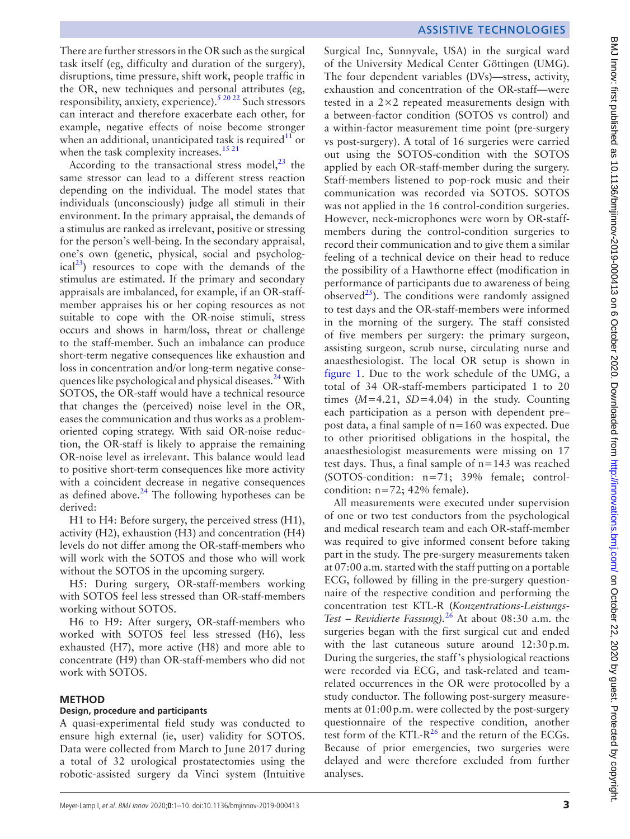BMJ Innov: first published as 10.1136/bmjinnov-2019-000413 on 6 October 2020. Downloaded from http://innovations.bmj.com/ on October 22, 2020 by guest. Protected by copyright. BMJ Innov: first published as 10.1136/bmjnnov-2019-200413 on 6 October 2020. Downloaded from <http://innovations.bmj.com/> on October 22, 2020 by guest. Protected by copyright.

There are further stressors in the OR such as the surgical task itself (eg, difficulty and duration of the surgery), disruptions, time pressure, shift work, people traffic in the OR, new techniques and personal attributes (eg, responsibility, anxiety, experience)[.5 20 22](#page-8-12) Such stressors can interact and therefore exacerbate each other, for example, negative effects of noise become stronger when an additional, unanticipated task is required<sup>11</sup> or when the task complexity increases.<sup>[15 21](#page-8-9)</sup>

According to the transactional stress model,  $^{23}$  $^{23}$  $^{23}$  the same stressor can lead to a different stress reaction depending on the individual. The model states that individuals (unconsciously) judge all stimuli in their environment. In the primary appraisal, the demands of a stimulus are ranked as irrelevant, positive or stressing for the person's well-being. In the secondary appraisal, one's own (genetic, physical, social and psycholog $ical<sup>23</sup>$ ) resources to cope with the demands of the stimulus are estimated. If the primary and secondary appraisals are imbalanced, for example, if an OR-staffmember appraises his or her coping resources as not suitable to cope with the OR-noise stimuli, stress occurs and shows in harm/loss, threat or challenge to the staff-member. Such an imbalance can produce short-term negative consequences like exhaustion and loss in concentration and/or long-term negative consequences like psychological and physical diseases.<sup>24</sup> With SOTOS, the OR-staff would have a technical resource that changes the (perceived) noise level in the OR, eases the communication and thus works as a problemoriented coping strategy. With said OR-noise reduction, the OR-staff is likely to appraise the remaining OR-noise level as irrelevant. This balance would lead to positive short-term consequences like more activity with a coincident decrease in negative consequences as defined above. $24$  The following hypotheses can be derived:

H1 to H4: Before surgery, the perceived stress (H1), activity (H2), exhaustion (H3) and concentration (H4) levels do not differ among the OR-staff-members who will work with the SOTOS and those who will work without the SOTOS in the upcoming surgery.

H5: During surgery, OR-staff-members working with SOTOS feel less stressed than OR-staff-members working without SOTOS.

H6 to H9: After surgery, OR-staff-members who worked with SOTOS feel less stressed (H6), less exhausted (H7), more active (H8) and more able to concentrate (H9) than OR-staff-members who did not work with SOTOS.

#### **METHOD**

#### **Design, procedure and participants**

A quasi-experimental field study was conducted to ensure high external (ie, user) validity for SOTOS. Data were collected from March to June 2017 during a total of 32 urological prostatectomies using the robotic-assisted surgery da Vinci system (Intuitive

## ASSISTIVE TECHNOLOGIES

Surgical Inc, Sunnyvale, USA) in the surgical ward of the University Medical Center Göttingen (UMG). The four dependent variables (DVs)—stress, activity, exhaustion and concentration of the OR-staff—were tested in a 2×2 repeated measurements design with a between-factor condition (SOTOS vs control) and a within-factor measurement time point (pre-surgery vs post-surgery). A total of 16 surgeries were carried out using the SOTOS-condition with the SOTOS applied by each OR-staff-member during the surgery. Staff-members listened to pop-rock music and their communication was recorded via SOTOS. SOTOS was not applied in the 16 control-condition surgeries. However, neck-microphones were worn by OR-staffmembers during the control-condition surgeries to record their communication and to give them a similar feeling of a technical device on their head to reduce the possibility of a Hawthorne effect (modification in performance of participants due to awareness of being observed $^{25}$ ). The conditions were randomly assigned to test days and the OR-staff-members were informed in the morning of the surgery. The staff consisted of five members per surgery: the primary surgeon, assisting surgeon, scrub nurse, circulating nurse and anaesthesiologist. The local OR setup is shown in [figure](#page-1-0) 1. Due to the work schedule of the UMG, a total of 34 OR-staff-members participated 1 to 20 times  $(M=4.21, SD=4.04)$  in the study. Counting each participation as a person with dependent pre– post data, a final sample of n=160 was expected. Due to other prioritised obligations in the hospital, the anaesthesiologist measurements were missing on 17 test days. Thus, a final sample of n=143 was reached (SOTOS-condition: n=71; 39% female; controlcondition:  $n=72$ ; 42% female).

All measurements were executed under supervision of one or two test conductors from the psychological and medical research team and each OR-staff-member was required to give informed consent before taking part in the study. The pre-surgery measurements taken at 07:00 a.m. started with the staff putting on a portable ECG, followed by filling in the pre-surgery questionnaire of the respective condition and performing the concentration test KTL-R (*Konzentrations-Leistungs-Test – Revidierte Fassung).*[26](#page-9-1) At about 08:30 a.m. the surgeries began with the first surgical cut and ended with the last cutaneous suture around 12:30p.m. During the surgeries, the staff's physiological reactions were recorded via ECG, and task-related and teamrelated occurrences in the OR were protocolled by a study conductor. The following post-surgery measurements at  $01:00$  p.m. were collected by the post-surgery questionnaire of the respective condition, another test form of the KTL- $R^{26}$  $R^{26}$  $R^{26}$  and the return of the ECGs. Because of prior emergencies, two surgeries were delayed and were therefore excluded from further analyses.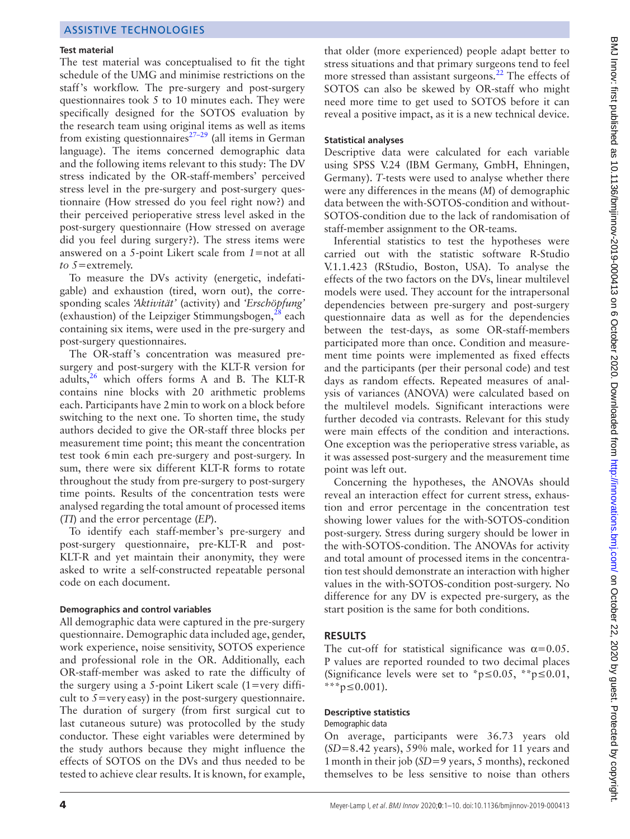#### **Test material**

The test material was conceptualised to fit the tight schedule of the UMG and minimise restrictions on the staff's workflow. The pre-surgery and post-surgery questionnaires took 5 to 10 minutes each. They were specifically designed for the SOTOS evaluation by the research team using original items as well as items from existing questionnaires $27-29$  (all items in German language). The items concerned demographic data and the following items relevant to this study: The DV stress indicated by the OR-staff-members' perceived stress level in the pre-surgery and post-surgery questionnaire (How stressed do you feel right now?) and their perceived perioperative stress level asked in the post-surgery questionnaire (How stressed on average did you feel during surgery?). The stress items were answered on a 5-point Likert scale from *1=*not at all *to 5=*extremely.

To measure the DVs activity (energetic, indefatigable) and exhaustion (tired, worn out), the corresponding scales *'Aktivität'* (activity) and *'Erschöpfung'* (exhaustion) of the Leipziger Stimmungsbogen, $^{28}$  $^{28}$  $^{28}$  each containing six items, were used in the pre-surgery and post-surgery questionnaires.

The OR-staff's concentration was measured presurgery and post-surgery with the KLT-R version for adults, $26$  which offers forms A and B. The KLT-R contains nine blocks with 20 arithmetic problems each. Participants have 2min to work on a block before switching to the next one. To shorten time, the study authors decided to give the OR-staff three blocks per measurement time point; this meant the concentration test took 6min each pre-surgery and post-surgery. In sum, there were six different KLT-R forms to rotate throughout the study from pre-surgery to post-surgery time points. Results of the concentration tests were analysed regarding the total amount of processed items (*TI*) and the error percentage (*EP*).

To identify each staff-member's pre-surgery and post-surgery questionnaire, pre-KLT-R and post-KLT-R and yet maintain their anonymity, they were asked to write a self-constructed repeatable personal code on each document.

#### **Demographics and control variables**

All demographic data were captured in the pre-surgery questionnaire. Demographic data included age, gender, work experience, noise sensitivity, SOTOS experience and professional role in the OR. Additionally, each OR-staff-member was asked to rate the difficulty of the surgery using a 5-point Likert scale  $(1=very\;diffi-)$ cult to *5=*very easy) in the post-surgery questionnaire. The duration of surgery (from first surgical cut to last cutaneous suture) was protocolled by the study conductor. These eight variables were determined by the study authors because they might influence the effects of SOTOS on the DVs and thus needed to be tested to achieve clear results. It is known, for example,

that older (more experienced) people adapt better to stress situations and that primary surgeons tend to feel more stressed than assistant surgeons.<sup>[22](#page-8-16)</sup> The effects of SOTOS can also be skewed by OR-staff who might need more time to get used to SOTOS before it can reveal a positive impact, as it is a new technical device.

#### **Statistical analyses**

Descriptive data were calculated for each variable using SPSS V.24 (IBM Germany, GmbH, Ehningen, Germany). *T*-tests were used to analyse whether there were any differences in the means (*M*) of demographic data between the with-SOTOS-condition and without-SOTOS-condition due to the lack of randomisation of staff-member assignment to the OR-teams.

Inferential statistics to test the hypotheses were carried out with the statistic software R-Studio V.1.1.423 (RStudio, Boston, USA). To analyse the effects of the two factors on the DVs, linear multilevel models were used. They account for the intrapersonal dependencies between pre-surgery and post-surgery questionnaire data as well as for the dependencies between the test-days, as some OR-staff-members participated more than once. Condition and measurement time points were implemented as fixed effects and the participants (per their personal code) and test days as random effects. Repeated measures of analysis of variances (ANOVA) were calculated based on the multilevel models. Significant interactions were further decoded via contrasts. Relevant for this study were main effects of the condition and interactions. One exception was the perioperative stress variable, as it was assessed post-surgery and the measurement time point was left out.

Concerning the hypotheses, the ANOVAs should reveal an interaction effect for current stress, exhaustion and error percentage in the concentration test showing lower values for the with-SOTOS-condition post-surgery. Stress during surgery should be lower in the with-SOTOS-condition. The ANOVAs for activity and total amount of processed items in the concentration test should demonstrate an interaction with higher values in the with-SOTOS-condition post-surgery. No difference for any DV is expected pre-surgery, as the start position is the same for both conditions.

### **RESULTS**

The cut-off for statistical significance was  $\alpha = 0.05$ . P values are reported rounded to two decimal places (Significance levels were set to  $p \leq 0.05$ ,  $p \leq 0.01$ , \*\*\*p≤0.001).

#### **Descriptive statistics**

Demographic data

On average, participants were 36.73 years old (*SD*=8.42 years), 59% male, worked for 11 years and 1month in their job (*SD*=9 years, 5 months), reckoned themselves to be less sensitive to noise than others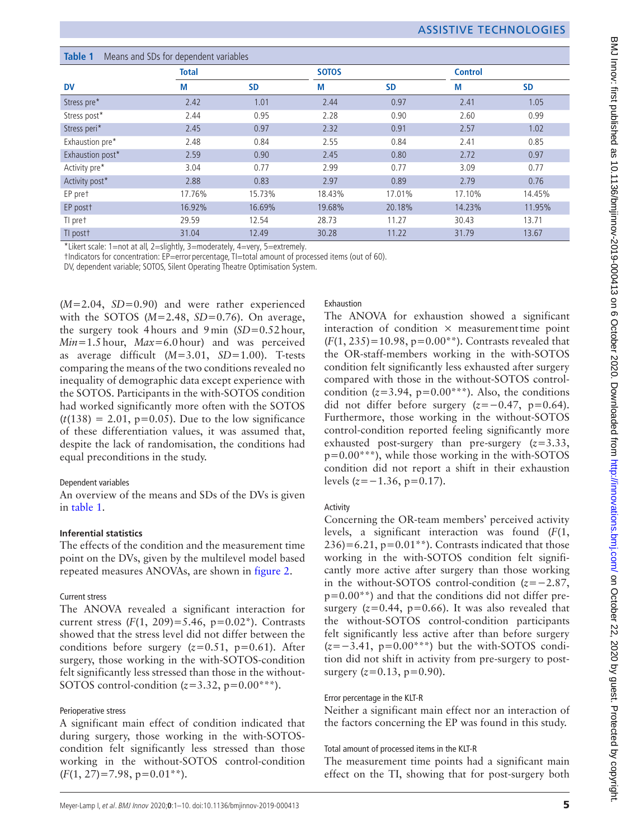<span id="page-4-0"></span>

| Table 1<br>Means and SDs for dependent variables |              |           |              |           |                |           |
|--------------------------------------------------|--------------|-----------|--------------|-----------|----------------|-----------|
|                                                  | <b>Total</b> |           | <b>SOTOS</b> |           | <b>Control</b> |           |
| <b>DV</b>                                        | М            | <b>SD</b> | М            | <b>SD</b> | М              | <b>SD</b> |
| Stress pre*                                      | 2.42         | 1.01      | 2.44         | 0.97      | 2.41           | 1.05      |
| Stress post*                                     | 2.44         | 0.95      | 2.28         | 0.90      | 2.60           | 0.99      |
| Stress peri*                                     | 2.45         | 0.97      | 2.32         | 0.91      | 2.57           | 1.02      |
| Exhaustion pre*                                  | 2.48         | 0.84      | 2.55         | 0.84      | 2.41           | 0.85      |
| Exhaustion post*                                 | 2.59         | 0.90      | 2.45         | 0.80      | 2.72           | 0.97      |
| Activity pre*                                    | 3.04         | 0.77      | 2.99         | 0.77      | 3.09           | 0.77      |
| Activity post*                                   | 2.88         | 0.83      | 2.97         | 0.89      | 2.79           | 0.76      |
| EP pret                                          | 17.76%       | 15.73%    | 18.43%       | 17.01%    | 17.10%         | 14.45%    |
| EP postt                                         | 16.92%       | 16.69%    | 19.68%       | 20.18%    | 14.23%         | 11.95%    |
| TI pret                                          | 29.59        | 12.54     | 28.73        | 11.27     | 30.43          | 13.71     |
| TI postt                                         | 31.04        | 12.49     | 30.28        | 11.22     | 31.79          | 13.67     |

\*Likert scale: 1=not at all, 2=slightly, 3=moderately, 4=very, 5=extremely.

†Indicators for concentration: EP=error percentage, TI=total amount of processed items (out of 60).

DV, dependent variable; SOTOS, Silent Operating Theatre Optimisation System.

(*M*=2.04, *SD*=0.90) and were rather experienced with the SOTOS  $(M=2.48, SD=0.76)$ . On average, the surgery took 4hours and 9min (*SD*=0.52hour, *Min*=1.5hour, *Max*=6.0hour) and was perceived as average difficult (*M*=3.01, *SD*=1.00). T-tests comparing the means of the two conditions revealed no inequality of demographic data except experience with the SOTOS. Participants in the with-SOTOS condition had worked significantly more often with the SOTOS  $(t(138) = 2.01, p=0.05)$ . Due to the low significance of these differentiation values, it was assumed that, despite the lack of randomisation, the conditions had equal preconditions in the study.

## Dependent variables

An overview of the means and SDs of the DVs is given in [table](#page-4-0) 1.

## **Inferential statistics**

The effects of the condition and the measurement time point on the DVs, given by the multilevel model based repeated measures ANOVAs, are shown in [figure](#page-5-0) 2.

## Current stress

The ANOVA revealed a significant interaction for current stress  $(F(1, 209)=5.46, p=0.02^*)$ . Contrasts showed that the stress level did not differ between the conditions before surgery  $(z=0.51, p=0.61)$ . After surgery, those working in the with-SOTOS-condition felt significantly less stressed than those in the without-SOTOS control-condition  $(z=3.32, p=0.00***)$ .

## Perioperative stress

A significant main effect of condition indicated that during surgery, those working in the with-SOTOScondition felt significantly less stressed than those working in the without-SOTOS control-condition  $(F(1, 27)=7.98, p=0.01**).$ 

Exhaustion

The ANOVA for exhaustion showed a significant interaction of condition  $\times$  measurement time point (*F*(1, 235)=10.98, p=0.00\*\*). Contrasts revealed that the OR-staff-members working in the with-SOTOS condition felt significantly less exhausted after surgery compared with those in the without-SOTOS controlcondition  $(z=3.94, p=0.00***)$ . Also, the conditions did not differ before surgery  $(z=-0.47, p=0.64)$ . Furthermore, those working in the without-SOTOS control-condition reported feeling significantly more exhausted post-surgery than pre-surgery (*z*=3.33,  $p=0.00***$ ), while those working in the with-SOTOS condition did not report a shift in their exhaustion levels (*z*=−1.36, p=0.17).

### Activity

Concerning the OR-team members' perceived activity levels, a significant interaction was found (*F*(1,  $236$ =6.21, p=0.01<sup>\*\*</sup>). Contrasts indicated that those working in the with-SOTOS condition felt significantly more active after surgery than those working in the without-SOTOS control-condition (*z*=−2.87,  $p=0.00**$ ) and that the conditions did not differ presurgery  $(z=0.44, p=0.66)$ . It was also revealed that the without-SOTOS control-condition participants felt significantly less active after than before surgery (*z*=−3.41, p=0.00\*\*\*) but the with-SOTOS condition did not shift in activity from pre-surgery to postsurgery  $(z=0.13, p=0.90)$ .

### Error percentage in the KLT-R

Neither a significant main effect nor an interaction of the factors concerning the EP was found in this study.

### Total amount of processed items in the KLT-R

The measurement time points had a significant main effect on the TI, showing that for post-surgery both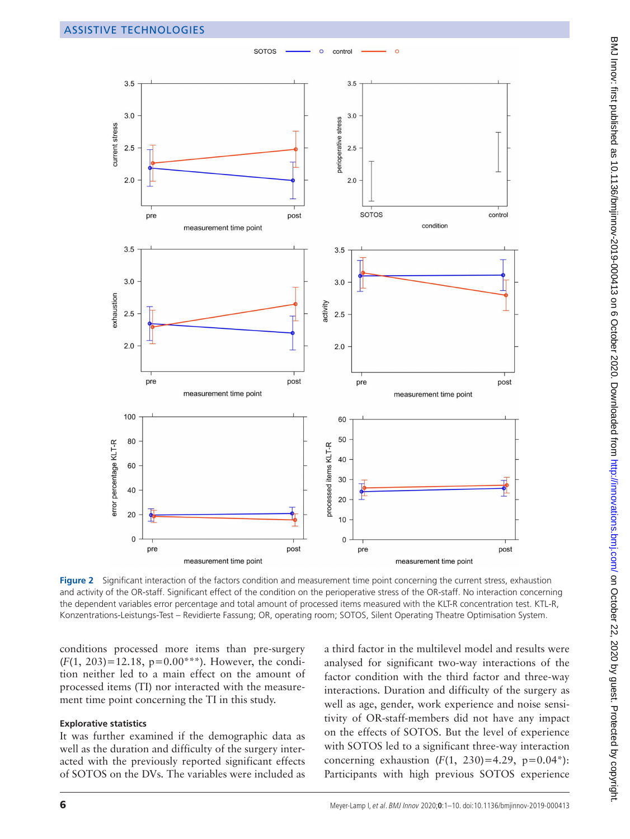

**SOTOS** 

control

<span id="page-5-0"></span>**Figure 2** Significant interaction of the factors condition and measurement time point concerning the current stress, exhaustion and activity of the OR-staff. Significant effect of the condition on the perioperative stress of the OR-staff. No interaction concerning the dependent variables error percentage and total amount of processed items measured with the KLT-R concentration test. KTL-R, Konzentrations-Leistungs-Test – Revidierte Fassung; OR, operating room; SOTOS, Silent Operating Theatre Optimisation System.

conditions processed more items than pre-surgery  $(F(1, 203)=12.18, p=0.00***)$ . However, the condition neither led to a main effect on the amount of processed items (TI) nor interacted with the measurement time point concerning the TI in this study.

### **Explorative statistics**

It was further examined if the demographic data as well as the duration and difficulty of the surgery interacted with the previously reported significant effects of SOTOS on the DVs. The variables were included as a third factor in the multilevel model and results were analysed for significant two-way interactions of the factor condition with the third factor and three-way interactions. Duration and difficulty of the surgery as well as age, gender, work experience and noise sensitivity of OR-staff-members did not have any impact on the effects of SOTOS. But the level of experience with SOTOS led to a significant three-way interaction concerning exhaustion  $(F(1, 230)=4.29, p=0.04^*)$ : Participants with high previous SOTOS experience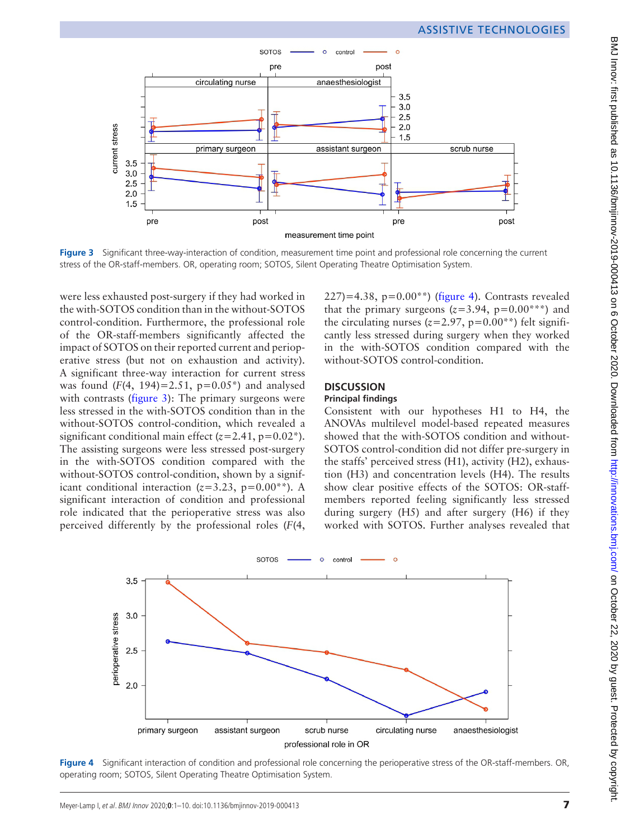

<span id="page-6-0"></span>**Figure 3** Significant three-way-interaction of condition, measurement time point and professional role concerning the current stress of the OR-staff-members. OR, operating room; SOTOS, Silent Operating Theatre Optimisation System.

were less exhausted post-surgery if they had worked in the with-SOTOS condition than in the without-SOTOS control-condition. Furthermore, the professional role of the OR-staff-members significantly affected the impact of SOTOS on their reported current and perioperative stress (but not on exhaustion and activity). A significant three-way interaction for current stress was found  $(F(4, 194)=2.51, p=0.05^*)$  and analysed with contrasts [\(figure](#page-6-0) 3): The primary surgeons were less stressed in the with-SOTOS condition than in the without-SOTOS control-condition, which revealed a significant conditional main effect  $(z=2.41, p=0.02^*)$ . The assisting surgeons were less stressed post-surgery in the with-SOTOS condition compared with the without-SOTOS control-condition, shown by a significant conditional interaction  $(z=3.23, p=0.00^{*})$ . A significant interaction of condition and professional role indicated that the perioperative stress was also perceived differently by the professional roles (*F*(4,

227)=4.38, p= $0.00^{**}$ ) ([figure](#page-6-1) 4). Contrasts revealed that the primary surgeons  $(z=3.94, p=0.00^{***})$  and the circulating nurses  $(z=2.97, p=0.00**)$  felt significantly less stressed during surgery when they worked in the with-SOTOS condition compared with the without-SOTOS control-condition.

# **DISCUSSION**

## **Principal findings**

Consistent with our hypotheses H1 to H4, the ANOVAs multilevel model-based repeated measures showed that the with-SOTOS condition and without-SOTOS control-condition did not differ pre-surgery in the staffs' perceived stress (H1), activity (H2), exhaustion (H3) and concentration levels (H4). The results show clear positive effects of the SOTOS: OR-staffmembers reported feeling significantly less stressed during surgery (H5) and after surgery (H6) if they worked with SOTOS. Further analyses revealed that



<span id="page-6-1"></span>**Figure 4** Significant interaction of condition and professional role concerning the perioperative stress of the OR-staff-members. OR, operating room; SOTOS, Silent Operating Theatre Optimisation System.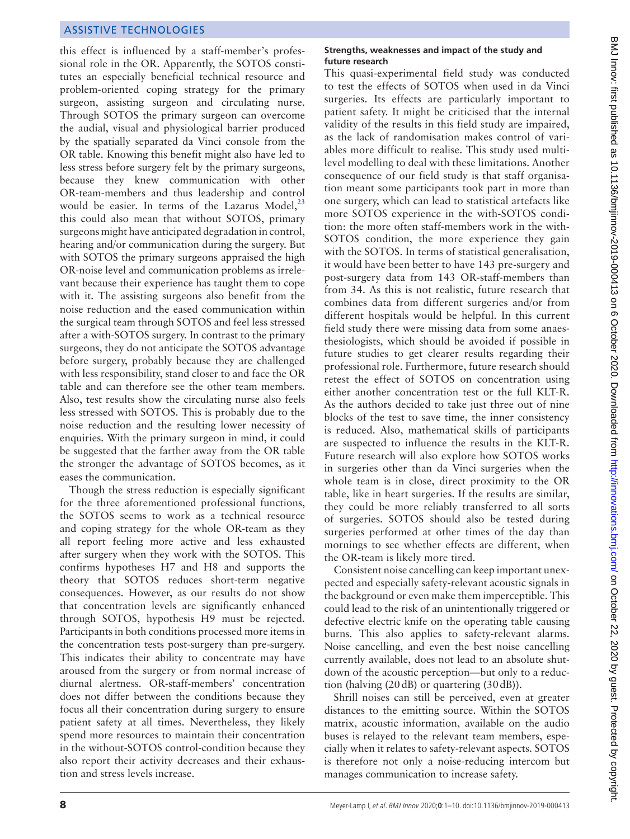this effect is influenced by a staff-member's professional role in the OR. Apparently, the SOTOS constitutes an especially beneficial technical resource and problem-oriented coping strategy for the primary surgeon, assisting surgeon and circulating nurse. Through SOTOS the primary surgeon can overcome the audial, visual and physiological barrier produced by the spatially separated da Vinci console from the OR table. Knowing this benefit might also have led to less stress before surgery felt by the primary surgeons, because they knew communication with other OR-team-members and thus leadership and control would be easier. In terms of the Lazarus Model, $^{23}$ this could also mean that without SOTOS, primary surgeons might have anticipated degradation in control, hearing and/or communication during the surgery. But with SOTOS the primary surgeons appraised the high OR-noise level and communication problems as irrelevant because their experience has taught them to cope with it. The assisting surgeons also benefit from the noise reduction and the eased communication within the surgical team through SOTOS and feel less stressed after a with-SOTOS surgery. In contrast to the primary surgeons, they do not anticipate the SOTOS advantage before surgery, probably because they are challenged with less responsibility, stand closer to and face the OR table and can therefore see the other team members. Also, test results show the circulating nurse also feels less stressed with SOTOS. This is probably due to the noise reduction and the resulting lower necessity of enquiries. With the primary surgeon in mind, it could be suggested that the farther away from the OR table the stronger the advantage of SOTOS becomes, as it eases the communication.

Though the stress reduction is especially significant for the three aforementioned professional functions, the SOTOS seems to work as a technical resource and coping strategy for the whole OR-team as they all report feeling more active and less exhausted after surgery when they work with the SOTOS. This confirms hypotheses H7 and H8 and supports the theory that SOTOS reduces short-term negative consequences. However, as our results do not show that concentration levels are significantly enhanced through SOTOS, hypothesis H9 must be rejected. Participants in both conditions processed more items in the concentration tests post-surgery than pre-surgery. This indicates their ability to concentrate may have aroused from the surgery or from normal increase of diurnal alertness. OR-staff-members' concentration does not differ between the conditions because they focus all their concentration during surgery to ensure patient safety at all times. Nevertheless, they likely spend more resources to maintain their concentration in the without-SOTOS control-condition because they also report their activity decreases and their exhaustion and stress levels increase.

#### **Strengths, weaknesses and impact of the study and future research**

This quasi-experimental field study was conducted to test the effects of SOTOS when used in da Vinci surgeries. Its effects are particularly important to patient safety. It might be criticised that the internal validity of the results in this field study are impaired, as the lack of randomisation makes control of variables more difficult to realise. This study used multilevel modelling to deal with these limitations. Another consequence of our field study is that staff organisation meant some participants took part in more than one surgery, which can lead to statistical artefacts like more SOTOS experience in the with-SOTOS condition: the more often staff-members work in the with-SOTOS condition, the more experience they gain with the SOTOS. In terms of statistical generalisation, it would have been better to have 143 pre-surgery and post-surgery data from 143 OR-staff-members than from 34. As this is not realistic, future research that combines data from different surgeries and/or from different hospitals would be helpful. In this current field study there were missing data from some anaesthesiologists, which should be avoided if possible in future studies to get clearer results regarding their professional role. Furthermore, future research should retest the effect of SOTOS on concentration using either another concentration test or the full KLT-R. As the authors decided to take just three out of nine blocks of the test to save time, the inner consistency is reduced. Also, mathematical skills of participants are suspected to influence the results in the KLT-R. Future research will also explore how SOTOS works in surgeries other than da Vinci surgeries when the whole team is in close, direct proximity to the OR table, like in heart surgeries. If the results are similar, they could be more reliably transferred to all sorts of surgeries. SOTOS should also be tested during surgeries performed at other times of the day than mornings to see whether effects are different, when the OR-team is likely more tired.

Consistent noise cancelling can keep important unexpected and especially safety-relevant acoustic signals in the background or even make them imperceptible. This could lead to the risk of an unintentionally triggered or defective electric knife on the operating table causing burns. This also applies to safety-relevant alarms. Noise cancelling, and even the best noise cancelling currently available, does not lead to an absolute shutdown of the acoustic perception—but only to a reduction (halving (20dB) or quartering (30dB)).

Shrill noises can still be perceived, even at greater distances to the emitting source. Within the SOTOS matrix, acoustic information, available on the audio buses is relayed to the relevant team members, especially when it relates to safety-relevant aspects. SOTOS is therefore not only a noise-reducing intercom but manages communication to increase safety.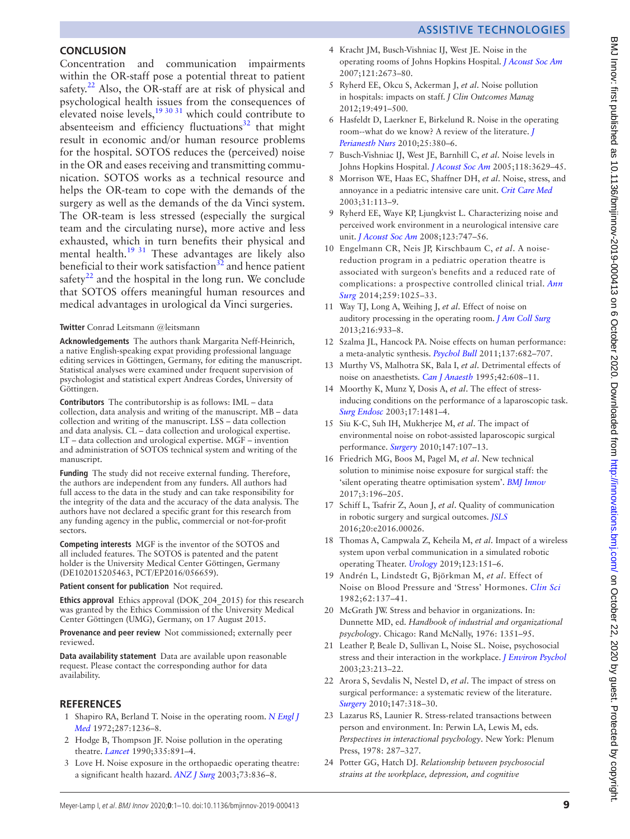### **CONCLUSION**

Concentration and communication impairments within the OR-staff pose a potential threat to patient safety. $^{22}$  $^{22}$  $^{22}$  Also, the OR-staff are at risk of physical and psychological health issues from the consequences of elevated noise levels,  $19^{30}$  31 which could contribute to absenteeism and efficiency fluctuations $32$  that might result in economic and/or human resource problems for the hospital. SOTOS reduces the (perceived) noise in the OR and eases receiving and transmitting communication. SOTOS works as a technical resource and helps the OR-team to cope with the demands of the surgery as well as the demands of the da Vinci system. The OR-team is less stressed (especially the surgical team and the circulating nurse), more active and less exhausted, which in turn benefits their physical and mental health.<sup>19 31</sup> These advantages are likely also beneficial to their work satisfaction $32$  and hence patient safety $^{22}$  and the hospital in the long run. We conclude that SOTOS offers meaningful human resources and medical advantages in urological da Vinci surgeries.

#### **Twitter** Conrad Leitsmann [@leitsmann](https://twitter.com/leitsmann)

**Acknowledgements** The authors thank Margarita Neff-Heinrich, a native English-speaking expat providing professional language editing services in Göttingen, Germany, for editing the manuscript. Statistical analyses were examined under frequent supervision of psychologist and statistical expert Andreas Cordes, University of Göttingen.

**Contributors** The contributorship is as follows: IML – data collection, data analysis and writing of the manuscript. MB – data collection and writing of the manuscript. LSS – data collection and data analysis. CL – data collection and urological expertise. LT – data collection and urological expertise. MGF – invention and administration of SOTOS technical system and writing of the manuscript.

**Funding** The study did not receive external funding. Therefore, the authors are independent from any funders. All authors had full access to the data in the study and can take responsibility for the integrity of the data and the accuracy of the data analysis. The authors have not declared a specific grant for this research from any funding agency in the public, commercial or not-for-profit sectors.

**Competing interests** MGF is the inventor of the SOTOS and all included features. The SOTOS is patented and the patent holder is the University Medical Center Göttingen, Germany (DE102015205463, PCT/EP2016/056659).

#### **Patient consent for publication** Not required.

**Ethics approval** Ethics approval (DOK\_204\_2015) for this research was granted by the Ethics Commission of the University Medical Center Göttingen (UMG), Germany, on 17 August 2015.

**Provenance and peer review** Not commissioned; externally peer reviewed.

**Data availability statement** Data are available upon reasonable request. Please contact the corresponding author for data availability.

#### **REFERENCES**

- <span id="page-8-0"></span>1 Shapiro RA, Berland T. Noise in the operating room. *[N Engl J](http://dx.doi.org/10.1056/NEJM197212142872407)  [Med](http://dx.doi.org/10.1056/NEJM197212142872407)* 1972;287:1236–8.
- <span id="page-8-1"></span>2 Hodge B, Thompson JF. Noise pollution in the operating theatre. *[Lancet](http://dx.doi.org/10.1016/0140-6736(90)90486-O)* 1990;335:891–4.
- <span id="page-8-2"></span>3 Love H. Noise exposure in the orthopaedic operating theatre: a significant health hazard. *[ANZ J Surg](http://dx.doi.org/10.1046/j.1445-2197.2003.02776.x)* 2003;73:836–8.
- <span id="page-8-3"></span>4 Kracht JM, Busch-Vishniac IJ, West JE. Noise in the operating rooms of Johns Hopkins Hospital. *[J Acoust Soc Am](http://dx.doi.org/10.1121/1.2714921)* 2007;121:2673–80.
- <span id="page-8-12"></span>5 Ryherd EE, Okcu S, Ackerman J, *et al*. Noise pollution in hospitals: impacts on staff. *J Clin Outcomes Manag* 2012;19:491–500.
- <span id="page-8-4"></span>6 Hasfeldt D, Laerkner E, Birkelund R. Noise in the operating room--what do we know? A review of the literature. *[J](http://dx.doi.org/10.1016/j.jopan.2010.10.001)  [Perianesth Nurs](http://dx.doi.org/10.1016/j.jopan.2010.10.001)* 2010;25:380–6.
- <span id="page-8-7"></span>7 Busch-Vishniac IJ, West JE, Barnhill C, *et al*. Noise levels in Johns Hopkins Hospital. *[J Acoust Soc Am](http://dx.doi.org/10.1121/1.2118327)* 2005;118:3629–45.
- 8 Morrison WE, Haas EC, Shaffner DH, *et al*. Noise, stress, and annoyance in a pediatric intensive care unit. *[Crit Care Med](http://dx.doi.org/10.1097/00003246-200301000-00018)* 2003;31:113–9.
- 9 Ryherd EE, Waye KP, Ljungkvist L. Characterizing noise and perceived work environment in a neurological intensive care unit. *[J Acoust Soc Am](http://dx.doi.org/10.1121/1.2822661)* 2008;123:747–56.
- <span id="page-8-5"></span>10 Engelmann CR, Neis JP, Kirschbaum C, *et al*. A noisereduction program in a pediatric operation theatre is associated with surgeon's benefits and a reduced rate of complications: a prospective controlled clinical trial. *[Ann](http://dx.doi.org/10.1097/SLA.0000000000000253)  [Surg](http://dx.doi.org/10.1097/SLA.0000000000000253)* 2014;259:1025–33.
- <span id="page-8-13"></span>11 Way TJ, Long A, Weihing J, *et al*. Effect of noise on auditory processing in the operating room. *[J Am Coll Surg](http://dx.doi.org/10.1016/j.jamcollsurg.2012.12.048)* 2013;216:933–8.
- <span id="page-8-6"></span>12 Szalma JL, Hancock PA. Noise effects on human performance: a meta-analytic synthesis. *[Psychol Bull](http://dx.doi.org/10.1037/a0023987)* 2011;137:682–707.
- 13 Murthy VS, Malhotra SK, Bala I, *et al*. Detrimental effects of noise on anaesthetists. *[Can J Anaesth](http://dx.doi.org/10.1007/BF03011878)* 1995;42:608–11.
- 14 Moorthy K, Munz Y, Dosis A, *et al*. The effect of stressinducing conditions on the performance of a laparoscopic task. *[Surg Endosc](http://dx.doi.org/10.1007/s00464-002-9224-9)* 2003;17:1481–4.
- <span id="page-8-9"></span>15 Siu K-C, Suh IH, Mukherjee M, *et al*. The impact of environmental noise on robot-assisted laparoscopic surgical performance. *[Surgery](http://dx.doi.org/10.1016/j.surg.2009.08.010)* 2010;147:107–13.
- <span id="page-8-8"></span>16 Friedrich MG, Boos M, Pagel M, *et al*. New technical solution to minimise noise exposure for surgical staff: the 'silent operating theatre optimisation system'. *[BMJ Innov](http://dx.doi.org/10.1136/bmjinnov-2016-000188)* 2017;3:196–205.
- <span id="page-8-10"></span>17 Schiff L, Tsafrir Z, Aoun J, *et al*. Quality of communication in robotic surgery and surgical outcomes. *[JSLS](http://dx.doi.org/10.4293/JSLS.2016.00026)* 2016;20:e2016.00026.
- <span id="page-8-11"></span>18 Thomas A, Campwala Z, Keheila M, *et al*. Impact of a wireless system upon verbal communication in a simulated robotic operating Theater. *[Urology](http://dx.doi.org/10.1016/j.urology.2018.07.059)* 2019;123:151–6.
- <span id="page-8-17"></span>19 Andrén L, Lindstedt G, Björkman M, *et al*. Effect of Noise on Blood Pressure and 'Stress' Hormones. *[Clin Sci](http://dx.doi.org/10.1042/cs0620137)* 1982;62:137–41.
- 20 McGrath JW. Stress and behavior in organizations. In: Dunnette MD, ed. *Handbook of industrial and organizational psychology*. Chicago: Rand McNally, 1976: 1351–95.
- 21 Leather P, Beale D, Sullivan L, Noise SL. Noise, psychosocial stress and their interaction in the workplace. *[J Environ Psychol](http://dx.doi.org/10.1016/S0272-4944(02)00082-8)* 2003;23:213–22.
- <span id="page-8-16"></span>22 Arora S, Sevdalis N, Nestel D, *et al*. The impact of stress on surgical performance: a systematic review of the literature. *[Surgery](http://dx.doi.org/10.1016/j.surg.2009.10.007)* 2010;147:318–30.
- <span id="page-8-14"></span>23 Lazarus RS, Launier R. Stress-related transactions between person and environment. In: Perwin LA, Lewis M, eds. *Perspectives in interactional psychology*. New York: Plenum Press, 1978: 287–327.
- <span id="page-8-15"></span>24 Potter GG, Hatch DJ. *Relationship between psychosocial strains at the workplace, depression, and cognitive*